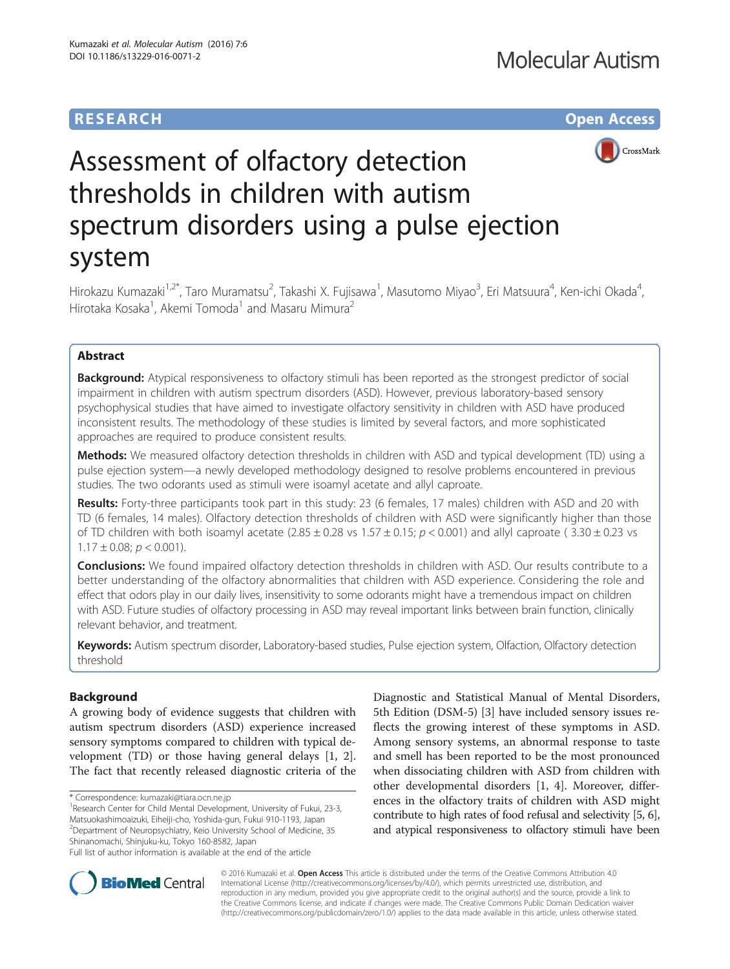# **RESEARCH CHE Open Access**



# Assessment of olfactory detection thresholds in children with autism spectrum disorders using a pulse ejection system

Hirokazu Kumazaki<sup>1,2\*</sup>, Taro Muramatsu<sup>2</sup>, Takashi X. Fujisawa<sup>1</sup>, Masutomo Miyao<sup>3</sup>, Eri Matsuura<sup>4</sup>, Ken-ichi Okada<sup>4</sup> , Hirotaka Kosaka<sup>1</sup>, Akemi Tomoda<sup>1</sup> and Masaru Mimura<sup>2</sup>

# Abstract

**Background:** Atypical responsiveness to olfactory stimuli has been reported as the strongest predictor of social impairment in children with autism spectrum disorders (ASD). However, previous laboratory-based sensory psychophysical studies that have aimed to investigate olfactory sensitivity in children with ASD have produced inconsistent results. The methodology of these studies is limited by several factors, and more sophisticated approaches are required to produce consistent results.

Methods: We measured olfactory detection thresholds in children with ASD and typical development (TD) using a pulse ejection system—a newly developed methodology designed to resolve problems encountered in previous studies. The two odorants used as stimuli were isoamyl acetate and allyl caproate.

Results: Forty-three participants took part in this study: 23 (6 females, 17 males) children with ASD and 20 with TD (6 females, 14 males). Olfactory detection thresholds of children with ASD were significantly higher than those of TD children with both isoamyl acetate  $(2.85 \pm 0.28 \text{ vs } 1.57 \pm 0.15; p < 0.001)$  and allyl caproate (3.30  $\pm$  0.23 vs  $1.17 \pm 0.08$ ;  $p < 0.001$ ).

**Conclusions:** We found impaired olfactory detection thresholds in children with ASD. Our results contribute to a better understanding of the olfactory abnormalities that children with ASD experience. Considering the role and effect that odors play in our daily lives, insensitivity to some odorants might have a tremendous impact on children with ASD. Future studies of olfactory processing in ASD may reveal important links between brain function, clinically relevant behavior, and treatment.

Keywords: Autism spectrum disorder, Laboratory-based studies, Pulse ejection system, Olfaction, Olfactory detection threshold

# Background

A growing body of evidence suggests that children with autism spectrum disorders (ASD) experience increased sensory symptoms compared to children with typical development (TD) or those having general delays [\[1](#page-6-0), [2](#page-6-0)]. The fact that recently released diagnostic criteria of the

<sup>1</sup>Research Center for Child Mental Development, University of Fukui, 23-3, Matsuokashimoaizuki, Eiheiji-cho, Yoshida-gun, Fukui 910-1193, Japan 2 Department of Neuropsychiatry, Keio University School of Medicine, 35 Shinanomachi, Shinjuku-ku, Tokyo 160-8582, Japan

Diagnostic and Statistical Manual of Mental Disorders, 5th Edition (DSM-5) [[3\]](#page-6-0) have included sensory issues reflects the growing interest of these symptoms in ASD. Among sensory systems, an abnormal response to taste and smell has been reported to be the most pronounced when dissociating children with ASD from children with other developmental disorders [[1, 4](#page-6-0)]. Moreover, differences in the olfactory traits of children with ASD might contribute to high rates of food refusal and selectivity [\[5](#page-6-0), [6](#page-6-0)], and atypical responsiveness to olfactory stimuli have been



© 2016 Kumazaki et al. Open Access This article is distributed under the terms of the Creative Commons Attribution 4.0 International License [\(http://creativecommons.org/licenses/by/4.0/](http://creativecommons.org/licenses/by/4.0/)), which permits unrestricted use, distribution, and reproduction in any medium, provided you give appropriate credit to the original author(s) and the source, provide a link to the Creative Commons license, and indicate if changes were made. The Creative Commons Public Domain Dedication waiver [\(http://creativecommons.org/publicdomain/zero/1.0/](http://creativecommons.org/publicdomain/zero/1.0/)) applies to the data made available in this article, unless otherwise stated.

<sup>\*</sup> Correspondence: [kumazaki@tiara.ocn.ne.jp](mailto:kumazaki@tiara.ocn.ne.jp) <sup>1</sup>

Full list of author information is available at the end of the article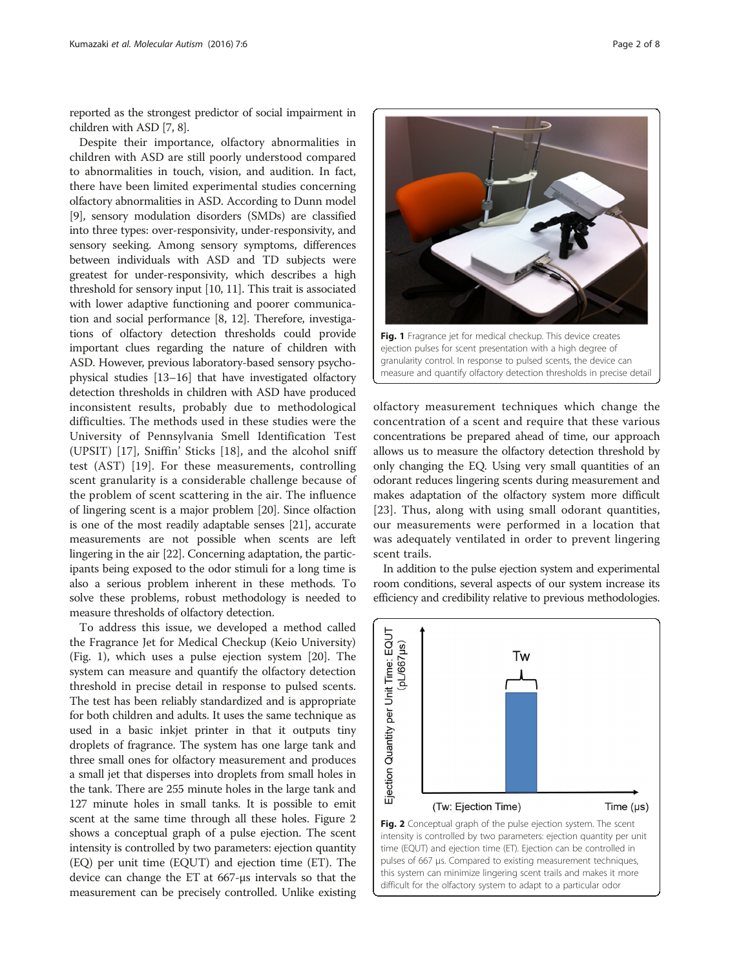<span id="page-1-0"></span>reported as the strongest predictor of social impairment in children with ASD [\[7](#page-6-0), [8](#page-6-0)].

Despite their importance, olfactory abnormalities in children with ASD are still poorly understood compared to abnormalities in touch, vision, and audition. In fact, there have been limited experimental studies concerning olfactory abnormalities in ASD. According to Dunn model [[9\]](#page-6-0), sensory modulation disorders (SMDs) are classified into three types: over-responsivity, under-responsivity, and sensory seeking. Among sensory symptoms, differences between individuals with ASD and TD subjects were greatest for under-responsivity, which describes a high threshold for sensory input [\[10, 11](#page-6-0)]. This trait is associated with lower adaptive functioning and poorer communication and social performance [\[8](#page-6-0), [12](#page-6-0)]. Therefore, investigations of olfactory detection thresholds could provide important clues regarding the nature of children with ASD. However, previous laboratory-based sensory psychophysical studies [\[13](#page-6-0)–[16](#page-6-0)] that have investigated olfactory detection thresholds in children with ASD have produced inconsistent results, probably due to methodological difficulties. The methods used in these studies were the University of Pennsylvania Smell Identification Test (UPSIT) [[17\]](#page-6-0), Sniffin' Sticks [[18\]](#page-6-0), and the alcohol sniff test (AST) [\[19\]](#page-6-0). For these measurements, controlling scent granularity is a considerable challenge because of the problem of scent scattering in the air. The influence of lingering scent is a major problem [\[20\]](#page-6-0). Since olfaction is one of the most readily adaptable senses [[21](#page-6-0)], accurate measurements are not possible when scents are left lingering in the air [[22](#page-6-0)]. Concerning adaptation, the participants being exposed to the odor stimuli for a long time is also a serious problem inherent in these methods. To solve these problems, robust methodology is needed to measure thresholds of olfactory detection.

To address this issue, we developed a method called the Fragrance Jet for Medical Checkup (Keio University) (Fig. 1), which uses a pulse ejection system [\[20](#page-6-0)]. The system can measure and quantify the olfactory detection threshold in precise detail in response to pulsed scents. The test has been reliably standardized and is appropriate for both children and adults. It uses the same technique as used in a basic inkjet printer in that it outputs tiny droplets of fragrance. The system has one large tank and three small ones for olfactory measurement and produces a small jet that disperses into droplets from small holes in the tank. There are 255 minute holes in the large tank and 127 minute holes in small tanks. It is possible to emit scent at the same time through all these holes. Figure 2 shows a conceptual graph of a pulse ejection. The scent intensity is controlled by two parameters: ejection quantity (EQ) per unit time (EQUT) and ejection time (ET). The device can change the ET at 667-μs intervals so that the measurement can be precisely controlled. Unlike existing



granularity control. In response to pulsed scents, the device can measure and quantify olfactory detection thresholds in precise detail

olfactory measurement techniques which change the concentration of a scent and require that these various concentrations be prepared ahead of time, our approach allows us to measure the olfactory detection threshold by only changing the EQ. Using very small quantities of an odorant reduces lingering scents during measurement and makes adaptation of the olfactory system more difficult [[23](#page-6-0)]. Thus, along with using small odorant quantities, our measurements were performed in a location that was adequately ventilated in order to prevent lingering scent trails.

In addition to the pulse ejection system and experimental room conditions, several aspects of our system increase its efficiency and credibility relative to previous methodologies.

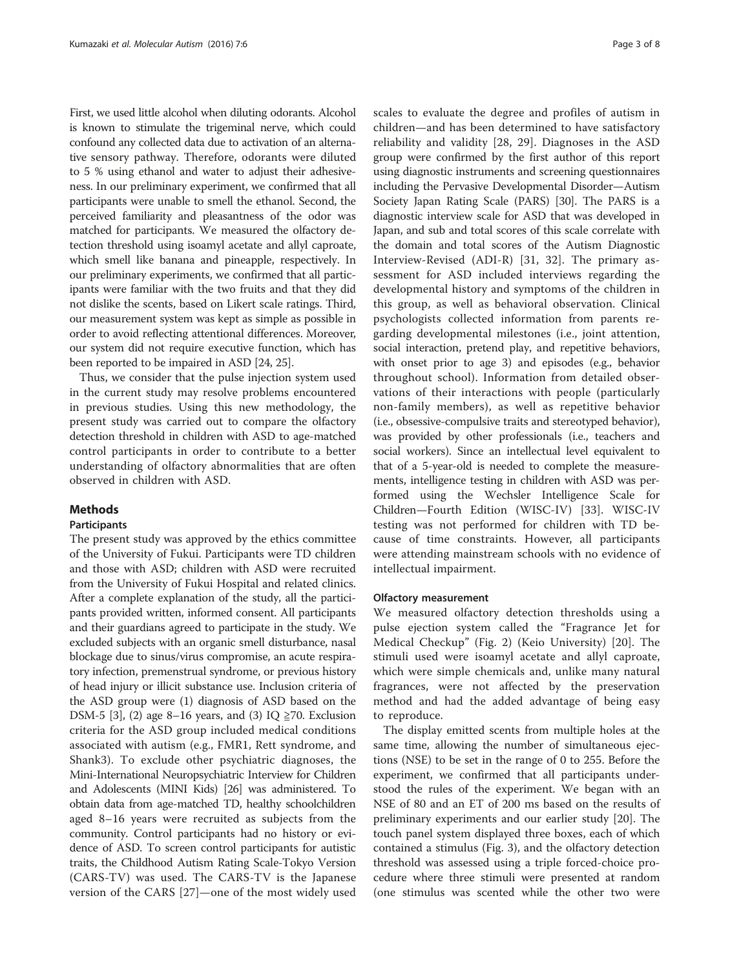First, we used little alcohol when diluting odorants. Alcohol is known to stimulate the trigeminal nerve, which could confound any collected data due to activation of an alternative sensory pathway. Therefore, odorants were diluted to 5 % using ethanol and water to adjust their adhesiveness. In our preliminary experiment, we confirmed that all participants were unable to smell the ethanol. Second, the perceived familiarity and pleasantness of the odor was matched for participants. We measured the olfactory detection threshold using isoamyl acetate and allyl caproate, which smell like banana and pineapple, respectively. In our preliminary experiments, we confirmed that all participants were familiar with the two fruits and that they did not dislike the scents, based on Likert scale ratings. Third, our measurement system was kept as simple as possible in order to avoid reflecting attentional differences. Moreover, our system did not require executive function, which has been reported to be impaired in ASD [[24](#page-6-0), [25\]](#page-7-0).

Thus, we consider that the pulse injection system used in the current study may resolve problems encountered in previous studies. Using this new methodology, the present study was carried out to compare the olfactory detection threshold in children with ASD to age-matched control participants in order to contribute to a better understanding of olfactory abnormalities that are often observed in children with ASD.

### Methods

#### Participants

The present study was approved by the ethics committee of the University of Fukui. Participants were TD children and those with ASD; children with ASD were recruited from the University of Fukui Hospital and related clinics. After a complete explanation of the study, all the participants provided written, informed consent. All participants and their guardians agreed to participate in the study. We excluded subjects with an organic smell disturbance, nasal blockage due to sinus/virus compromise, an acute respiratory infection, premenstrual syndrome, or previous history of head injury or illicit substance use. Inclusion criteria of the ASD group were (1) diagnosis of ASD based on the DSM-5 [\[3](#page-6-0)], (2) age 8–16 years, and (3) IQ  $\geq$ 70. Exclusion criteria for the ASD group included medical conditions associated with autism (e.g., FMR1, Rett syndrome, and Shank3). To exclude other psychiatric diagnoses, the Mini-International Neuropsychiatric Interview for Children and Adolescents (MINI Kids) [[26\]](#page-7-0) was administered. To obtain data from age-matched TD, healthy schoolchildren aged 8–16 years were recruited as subjects from the community. Control participants had no history or evidence of ASD. To screen control participants for autistic traits, the Childhood Autism Rating Scale-Tokyo Version (CARS-TV) was used. The CARS-TV is the Japanese version of the CARS [\[27\]](#page-7-0)—one of the most widely used scales to evaluate the degree and profiles of autism in children—and has been determined to have satisfactory reliability and validity [[28, 29](#page-7-0)]. Diagnoses in the ASD group were confirmed by the first author of this report using diagnostic instruments and screening questionnaires including the Pervasive Developmental Disorder—Autism Society Japan Rating Scale (PARS) [\[30\]](#page-7-0). The PARS is a diagnostic interview scale for ASD that was developed in Japan, and sub and total scores of this scale correlate with the domain and total scores of the Autism Diagnostic Interview-Revised (ADI-R) [[31, 32](#page-7-0)]. The primary assessment for ASD included interviews regarding the developmental history and symptoms of the children in this group, as well as behavioral observation. Clinical psychologists collected information from parents regarding developmental milestones (i.e., joint attention, social interaction, pretend play, and repetitive behaviors, with onset prior to age 3) and episodes (e.g., behavior throughout school). Information from detailed observations of their interactions with people (particularly non-family members), as well as repetitive behavior (i.e., obsessive-compulsive traits and stereotyped behavior), was provided by other professionals (i.e., teachers and social workers). Since an intellectual level equivalent to that of a 5-year-old is needed to complete the measurements, intelligence testing in children with ASD was performed using the Wechsler Intelligence Scale for Children—Fourth Edition (WISC-IV) [[33](#page-7-0)]. WISC-IV testing was not performed for children with TD because of time constraints. However, all participants were attending mainstream schools with no evidence of intellectual impairment.

#### Olfactory measurement

We measured olfactory detection thresholds using a pulse ejection system called the "Fragrance Jet for Medical Checkup" (Fig. [2\)](#page-1-0) (Keio University) [\[20](#page-6-0)]. The stimuli used were isoamyl acetate and allyl caproate, which were simple chemicals and, unlike many natural fragrances, were not affected by the preservation method and had the added advantage of being easy to reproduce.

The display emitted scents from multiple holes at the same time, allowing the number of simultaneous ejections (NSE) to be set in the range of 0 to 255. Before the experiment, we confirmed that all participants understood the rules of the experiment. We began with an NSE of 80 and an ET of 200 ms based on the results of preliminary experiments and our earlier study [[20](#page-6-0)]. The touch panel system displayed three boxes, each of which contained a stimulus (Fig. [3](#page-3-0)), and the olfactory detection threshold was assessed using a triple forced-choice procedure where three stimuli were presented at random (one stimulus was scented while the other two were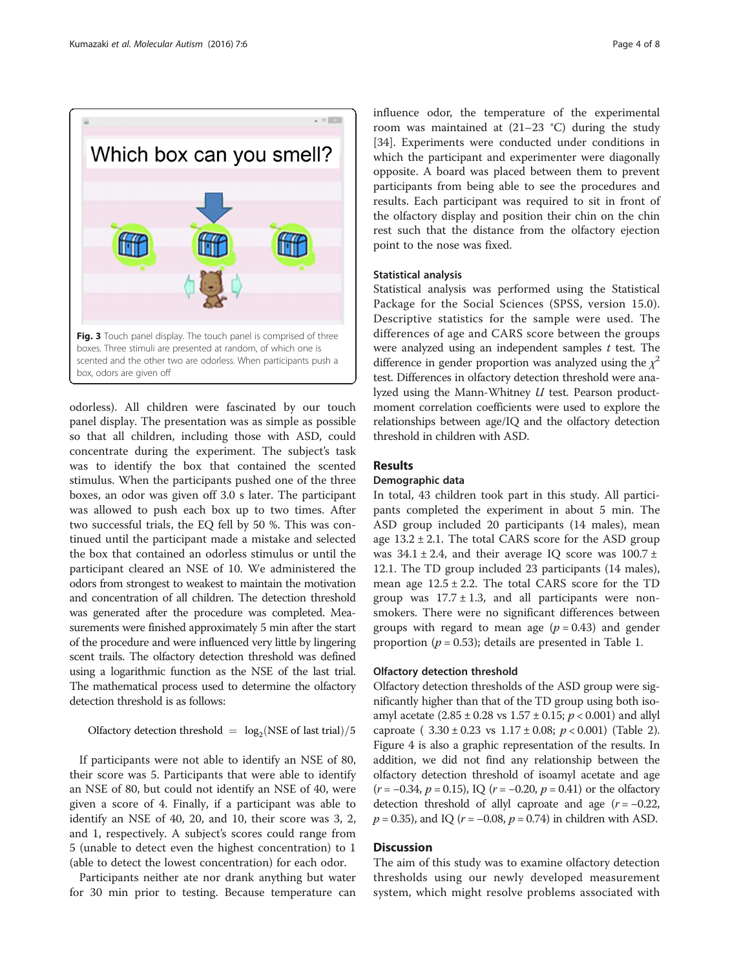<span id="page-3-0"></span>

odorless). All children were fascinated by our touch panel display. The presentation was as simple as possible so that all children, including those with ASD, could concentrate during the experiment. The subject's task was to identify the box that contained the scented stimulus. When the participants pushed one of the three boxes, an odor was given off 3.0 s later. The participant was allowed to push each box up to two times. After two successful trials, the EQ fell by 50 %. This was continued until the participant made a mistake and selected the box that contained an odorless stimulus or until the participant cleared an NSE of 10. We administered the odors from strongest to weakest to maintain the motivation and concentration of all children. The detection threshold was generated after the procedure was completed. Measurements were finished approximately 5 min after the start of the procedure and were influenced very little by lingering scent trails. The olfactory detection threshold was defined using a logarithmic function as the NSE of the last trial. The mathematical process used to determine the olfactory detection threshold is as follows:

Olfactory detection threshold =  $log_2(NSE)$  of last trial)/5

If participants were not able to identify an NSE of 80, their score was 5. Participants that were able to identify an NSE of 80, but could not identify an NSE of 40, were given a score of 4. Finally, if a participant was able to identify an NSE of 40, 20, and 10, their score was 3, 2, and 1, respectively. A subject's scores could range from 5 (unable to detect even the highest concentration) to 1 (able to detect the lowest concentration) for each odor.

Participants neither ate nor drank anything but water for 30 min prior to testing. Because temperature can

influence odor, the temperature of the experimental room was maintained at (21–23 °C) during the study [[34\]](#page-7-0). Experiments were conducted under conditions in which the participant and experimenter were diagonally opposite. A board was placed between them to prevent participants from being able to see the procedures and results. Each participant was required to sit in front of the olfactory display and position their chin on the chin rest such that the distance from the olfactory ejection point to the nose was fixed.

# Statistical analysis

Statistical analysis was performed using the Statistical Package for the Social Sciences (SPSS, version 15.0). Descriptive statistics for the sample were used. The differences of age and CARS score between the groups were analyzed using an independent samples  $t$  test. The difference in gender proportion was analyzed using the  $\chi^2$ test. Differences in olfactory detection threshold were analyzed using the Mann-Whitney U test. Pearson productmoment correlation coefficients were used to explore the relationships between age/IQ and the olfactory detection threshold in children with ASD.

#### Results

### Demographic data

In total, 43 children took part in this study. All participants completed the experiment in about 5 min. The ASD group included 20 participants (14 males), mean age  $13.2 \pm 2.1$ . The total CARS score for the ASD group was  $34.1 \pm 2.4$ , and their average IQ score was  $100.7 \pm$ 12.1. The TD group included 23 participants (14 males), mean age  $12.5 \pm 2.2$ . The total CARS score for the TD group was  $17.7 \pm 1.3$ , and all participants were nonsmokers. There were no significant differences between groups with regard to mean age  $(p = 0.43)$  and gender proportion ( $p = 0.53$ ); details are presented in Table [1.](#page-4-0)

# Olfactory detection threshold

Olfactory detection thresholds of the ASD group were significantly higher than that of the TD group using both isoamyl acetate  $(2.85 \pm 0.28 \text{ vs } 1.57 \pm 0.15; p < 0.001)$  and allyl caproate (  $3.30 \pm 0.23$  vs  $1.17 \pm 0.08$ ;  $p < 0.001$ ) (Table [2](#page-4-0)). Figure [4](#page-5-0) is also a graphic representation of the results. In addition, we did not find any relationship between the olfactory detection threshold of isoamyl acetate and age  $(r = -0.34, p = 0.15)$ , IQ  $(r = -0.20, p = 0.41)$  or the olfactory detection threshold of allyl caproate and age  $(r = -0.22,$  $p = 0.35$ ), and IQ ( $r = -0.08$ ,  $p = 0.74$ ) in children with ASD.

# **Discussion**

The aim of this study was to examine olfactory detection thresholds using our newly developed measurement system, which might resolve problems associated with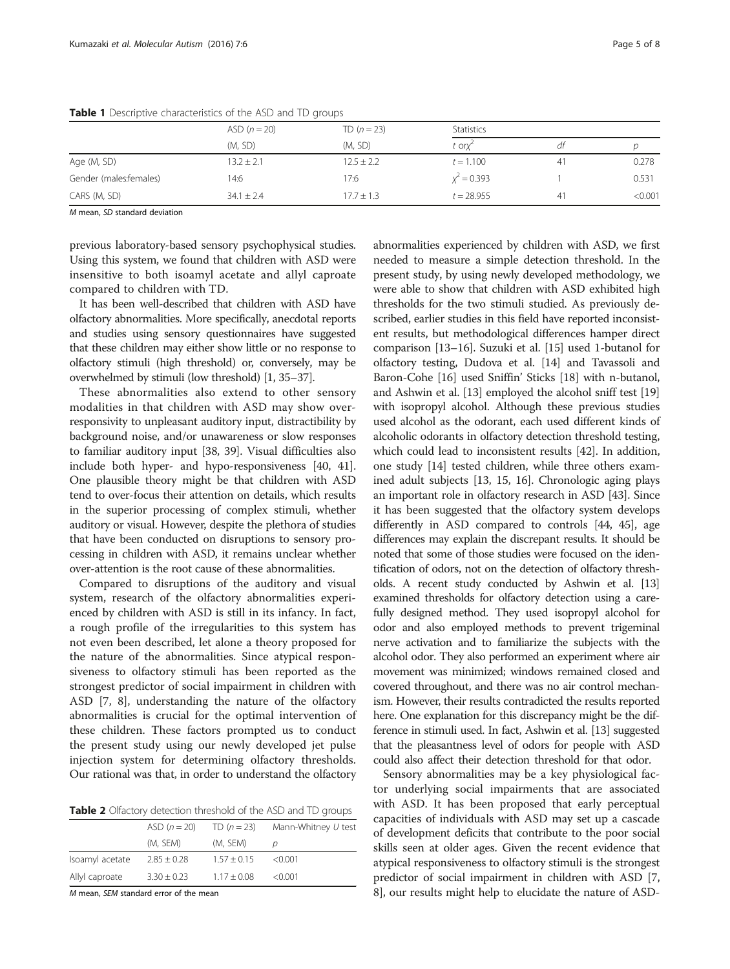| $ASD (n = 20)$ | TD $(n = 23)$  | Statistics    |    |         |  |  |
|----------------|----------------|---------------|----|---------|--|--|
| (M, SD)        | (M, SD)        | t or $x^2$    | đt |         |  |  |
| $13.2 \pm 2.1$ | $12.5 \pm 2.2$ | $t = 1.100$   | 41 | 0.278   |  |  |
| 14:6           | 17:6           | $x^2 = 0.393$ |    | 0.531   |  |  |
| $34.1 \pm 2.4$ | $17.7 \pm 1.3$ | $t = 28.955$  | 41 | < 0.001 |  |  |
|                |                |               |    |         |  |  |

<span id="page-4-0"></span>Table 1 Descriptive characteristics of the ASD and TD groups

M mean, SD standard deviation

previous laboratory-based sensory psychophysical studies. Using this system, we found that children with ASD were insensitive to both isoamyl acetate and allyl caproate compared to children with TD.

It has been well-described that children with ASD have olfactory abnormalities. More specifically, anecdotal reports and studies using sensory questionnaires have suggested that these children may either show little or no response to olfactory stimuli (high threshold) or, conversely, may be overwhelmed by stimuli (low threshold) [\[1,](#page-6-0) [35](#page-7-0)–[37](#page-7-0)].

These abnormalities also extend to other sensory modalities in that children with ASD may show overresponsivity to unpleasant auditory input, distractibility by background noise, and/or unawareness or slow responses to familiar auditory input [[38](#page-7-0), [39\]](#page-7-0). Visual difficulties also include both hyper- and hypo-responsiveness [\[40](#page-7-0), [41](#page-7-0)]. One plausible theory might be that children with ASD tend to over-focus their attention on details, which results in the superior processing of complex stimuli, whether auditory or visual. However, despite the plethora of studies that have been conducted on disruptions to sensory processing in children with ASD, it remains unclear whether over-attention is the root cause of these abnormalities.

Compared to disruptions of the auditory and visual system, research of the olfactory abnormalities experienced by children with ASD is still in its infancy. In fact, a rough profile of the irregularities to this system has not even been described, let alone a theory proposed for the nature of the abnormalities. Since atypical responsiveness to olfactory stimuli has been reported as the strongest predictor of social impairment in children with ASD [\[7, 8\]](#page-6-0), understanding the nature of the olfactory abnormalities is crucial for the optimal intervention of these children. These factors prompted us to conduct the present study using our newly developed jet pulse injection system for determining olfactory thresholds. Our rational was that, in order to understand the olfactory

Table 2 Olfactory detection threshold of the ASD and TD groups

|                 | $ASD(n=20)$     | TD $(n = 23)$   | Mann-Whitney U test |
|-----------------|-----------------|-----------------|---------------------|
|                 | (M, SEM)        | (M, SEM)        |                     |
| Isoamyl acetate | $2.85 \pm 0.28$ | $1.57 + 0.15$   | < 0.001             |
| Allyl caproate  | $3.30 + 0.23$   | $1.17 \pm 0.08$ | < 0.001             |
|                 |                 |                 |                     |

M mean, SEM standard error of the mean

abnormalities experienced by children with ASD, we first needed to measure a simple detection threshold. In the present study, by using newly developed methodology, we were able to show that children with ASD exhibited high thresholds for the two stimuli studied. As previously described, earlier studies in this field have reported inconsistent results, but methodological differences hamper direct comparison [\[13](#page-6-0)–[16](#page-6-0)]. Suzuki et al. [\[15](#page-6-0)] used 1-butanol for olfactory testing, Dudova et al. [[14](#page-6-0)] and Tavassoli and Baron-Cohe [\[16\]](#page-6-0) used Sniffin' Sticks [[18](#page-6-0)] with n-butanol, and Ashwin et al. [\[13\]](#page-6-0) employed the alcohol sniff test [[19](#page-6-0)] with isopropyl alcohol. Although these previous studies used alcohol as the odorant, each used different kinds of alcoholic odorants in olfactory detection threshold testing, which could lead to inconsistent results [\[42\]](#page-7-0). In addition, one study [[14](#page-6-0)] tested children, while three others examined adult subjects [\[13, 15, 16](#page-6-0)]. Chronologic aging plays an important role in olfactory research in ASD [\[43](#page-7-0)]. Since it has been suggested that the olfactory system develops differently in ASD compared to controls [\[44, 45\]](#page-7-0), age differences may explain the discrepant results. It should be noted that some of those studies were focused on the identification of odors, not on the detection of olfactory thresholds. A recent study conducted by Ashwin et al. [\[13](#page-6-0)] examined thresholds for olfactory detection using a carefully designed method. They used isopropyl alcohol for odor and also employed methods to prevent trigeminal nerve activation and to familiarize the subjects with the alcohol odor. They also performed an experiment where air movement was minimized; windows remained closed and covered throughout, and there was no air control mechanism. However, their results contradicted the results reported here. One explanation for this discrepancy might be the difference in stimuli used. In fact, Ashwin et al. [\[13\]](#page-6-0) suggested that the pleasantness level of odors for people with ASD could also affect their detection threshold for that odor.

Sensory abnormalities may be a key physiological factor underlying social impairments that are associated with ASD. It has been proposed that early perceptual capacities of individuals with ASD may set up a cascade of development deficits that contribute to the poor social skills seen at older ages. Given the recent evidence that atypical responsiveness to olfactory stimuli is the strongest predictor of social impairment in children with ASD [[7](#page-6-0), [8\]](#page-6-0), our results might help to elucidate the nature of ASD-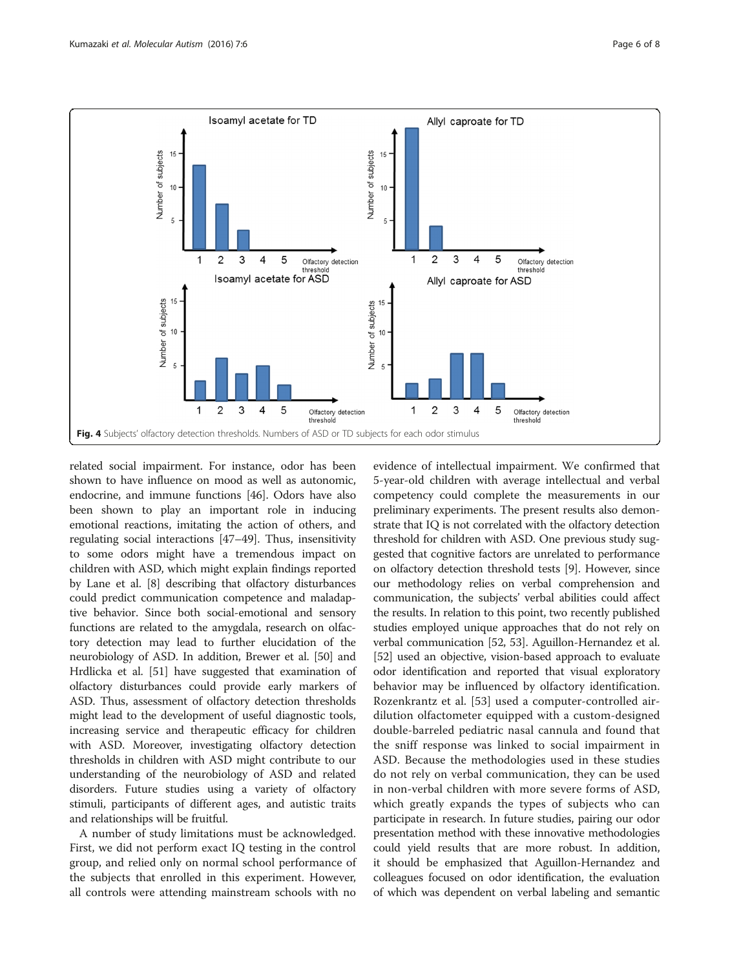<span id="page-5-0"></span>

related social impairment. For instance, odor has been shown to have influence on mood as well as autonomic, endocrine, and immune functions [\[46\]](#page-7-0). Odors have also been shown to play an important role in inducing emotional reactions, imitating the action of others, and regulating social interactions [[47](#page-7-0)–[49\]](#page-7-0). Thus, insensitivity to some odors might have a tremendous impact on children with ASD, which might explain findings reported by Lane et al. [\[8\]](#page-6-0) describing that olfactory disturbances could predict communication competence and maladaptive behavior. Since both social-emotional and sensory functions are related to the amygdala, research on olfactory detection may lead to further elucidation of the neurobiology of ASD. In addition, Brewer et al. [\[50\]](#page-7-0) and Hrdlicka et al. [[51](#page-7-0)] have suggested that examination of olfactory disturbances could provide early markers of ASD. Thus, assessment of olfactory detection thresholds might lead to the development of useful diagnostic tools, increasing service and therapeutic efficacy for children with ASD. Moreover, investigating olfactory detection thresholds in children with ASD might contribute to our understanding of the neurobiology of ASD and related disorders. Future studies using a variety of olfactory stimuli, participants of different ages, and autistic traits and relationships will be fruitful.

A number of study limitations must be acknowledged. First, we did not perform exact IQ testing in the control group, and relied only on normal school performance of the subjects that enrolled in this experiment. However, all controls were attending mainstream schools with no

evidence of intellectual impairment. We confirmed that 5-year-old children with average intellectual and verbal competency could complete the measurements in our preliminary experiments. The present results also demonstrate that IQ is not correlated with the olfactory detection threshold for children with ASD. One previous study suggested that cognitive factors are unrelated to performance on olfactory detection threshold tests [[9\]](#page-6-0). However, since our methodology relies on verbal comprehension and communication, the subjects' verbal abilities could affect the results. In relation to this point, two recently published studies employed unique approaches that do not rely on verbal communication [\[52, 53\]](#page-7-0). Aguillon-Hernandez et al. [[52](#page-7-0)] used an objective, vision-based approach to evaluate odor identification and reported that visual exploratory behavior may be influenced by olfactory identification. Rozenkrantz et al. [\[53\]](#page-7-0) used a computer-controlled airdilution olfactometer equipped with a custom-designed double-barreled pediatric nasal cannula and found that the sniff response was linked to social impairment in ASD. Because the methodologies used in these studies do not rely on verbal communication, they can be used in non-verbal children with more severe forms of ASD, which greatly expands the types of subjects who can participate in research. In future studies, pairing our odor presentation method with these innovative methodologies could yield results that are more robust. In addition, it should be emphasized that Aguillon-Hernandez and colleagues focused on odor identification, the evaluation of which was dependent on verbal labeling and semantic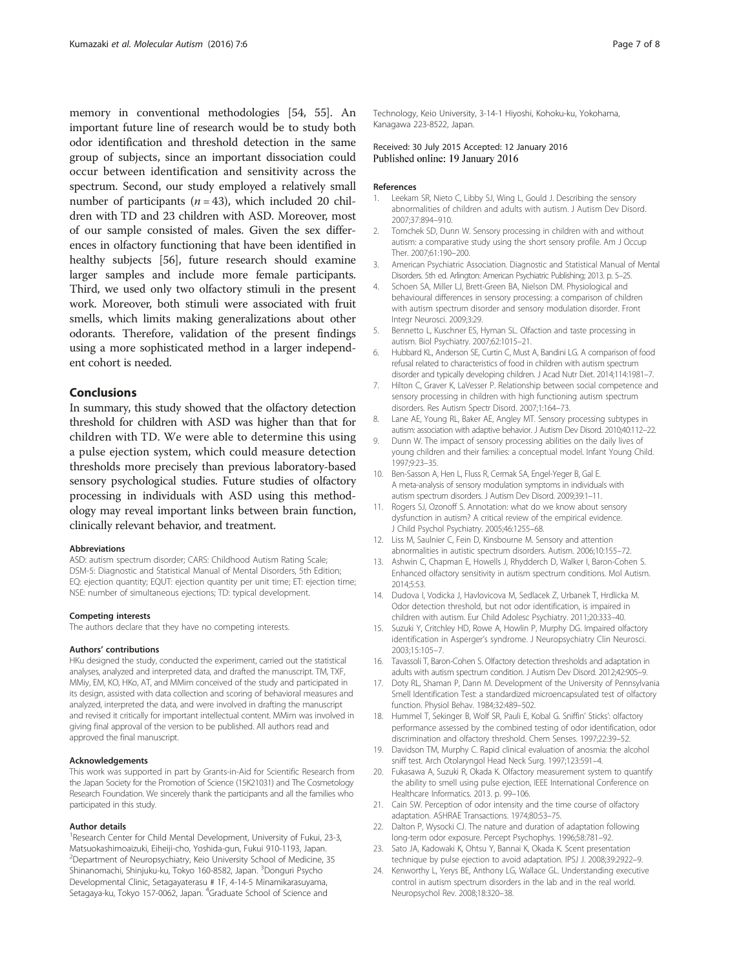<span id="page-6-0"></span>memory in conventional methodologies [\[54, 55](#page-7-0)]. An important future line of research would be to study both odor identification and threshold detection in the same group of subjects, since an important dissociation could occur between identification and sensitivity across the spectrum. Second, our study employed a relatively small number of participants ( $n = 43$ ), which included 20 children with TD and 23 children with ASD. Moreover, most of our sample consisted of males. Given the sex differences in olfactory functioning that have been identified in healthy subjects [\[56\]](#page-7-0), future research should examine larger samples and include more female participants. Third, we used only two olfactory stimuli in the present work. Moreover, both stimuli were associated with fruit smells, which limits making generalizations about other odorants. Therefore, validation of the present findings using a more sophisticated method in a larger independent cohort is needed.

### Conclusions

In summary, this study showed that the olfactory detection threshold for children with ASD was higher than that for children with TD. We were able to determine this using a pulse ejection system, which could measure detection thresholds more precisely than previous laboratory-based sensory psychological studies. Future studies of olfactory processing in individuals with ASD using this methodology may reveal important links between brain function, clinically relevant behavior, and treatment.

#### Abbreviations

ASD: autism spectrum disorder; CARS: Childhood Autism Rating Scale; DSM-5: Diagnostic and Statistical Manual of Mental Disorders, 5th Edition; EQ: ejection quantity; EQUT: ejection quantity per unit time; ET: ejection time; NSE: number of simultaneous ejections; TD: typical development.

#### Competing interests

The authors declare that they have no competing interests.

#### Authors' contributions

HKu designed the study, conducted the experiment, carried out the statistical analyses, analyzed and interpreted data, and drafted the manuscript. TM, TXF, MMiy, EM, KO, HKo, AT, and MMim conceived of the study and participated in its design, assisted with data collection and scoring of behavioral measures and analyzed, interpreted the data, and were involved in drafting the manuscript and revised it critically for important intellectual content. MMim was involved in giving final approval of the version to be published. All authors read and approved the final manuscript.

#### Acknowledgements

This work was supported in part by Grants-in-Aid for Scientific Research from the Japan Society for the Promotion of Science (15K21031) and The Cosmetology Research Foundation. We sincerely thank the participants and all the families who participated in this study.

#### Author details

<sup>1</sup> Research Center for Child Mental Development, University of Fukui, 23-3, Matsuokashimoaizuki, Eiheiji-cho, Yoshida-gun, Fukui 910-1193, Japan. 2 Department of Neuropsychiatry, Keio University School of Medicine, 35 Shinanomachi, Shinjuku-ku, Tokyo 160-8582, Japan. <sup>3</sup>Donguri Psycho Developmental Clinic, Setagayaterasu # 1F, 4-14-5 Minamikarasuyama, Setagaya-ku, Tokyo 157-0062, Japan. <sup>4</sup>Graduate School of Science and

Technology, Keio University, 3-14-1 Hiyoshi, Kohoku-ku, Yokohama, Kanagawa 223-8522, Japan.

#### Received: 30 July 2015 Accepted: 12 January 2016 Published online: 19 January 2016

#### References

- 1. Leekam SR, Nieto C, Libby SJ, Wing L, Gould J. Describing the sensory abnormalities of children and adults with autism. J Autism Dev Disord. 2007;37:894–910.
- 2. Tomchek SD, Dunn W. Sensory processing in children with and without autism: a comparative study using the short sensory profile. Am J Occup Ther. 2007;61:190–200.
- 3. American Psychiatric Association. Diagnostic and Statistical Manual of Mental Disorders. 5th ed. Arlington: American Psychiatric Publishing; 2013. p. 5–25.
- 4. Schoen SA, Miller LJ, Brett-Green BA, Nielson DM. Physiological and behavioural differences in sensory processing: a comparison of children with autism spectrum disorder and sensory modulation disorder. Front Integr Neurosci. 2009;3:29.
- 5. Bennetto L, Kuschner ES, Hyman SL. Olfaction and taste processing in autism. Biol Psychiatry. 2007;62:1015–21.
- 6. Hubbard KL, Anderson SE, Curtin C, Must A, Bandini LG. A comparison of food refusal related to characteristics of food in children with autism spectrum disorder and typically developing children. J Acad Nutr Diet. 2014;114:1981–7.
- 7. Hilton C, Graver K, LaVesser P. Relationship between social competence and sensory processing in children with high functioning autism spectrum disorders. Res Autism Spectr Disord. 2007;1:164–73.
- 8. Lane AE, Young RL, Baker AE, Angley MT. Sensory processing subtypes in autism: association with adaptive behavior. J Autism Dev Disord. 2010;40:112–22.
- 9. Dunn W. The impact of sensory processing abilities on the daily lives of young children and their families: a conceptual model. Infant Young Child. 1997;9:23–35.
- 10. Ben-Sasson A, Hen L, Fluss R, Cermak SA, Engel-Yeger B, Gal E. A meta-analysis of sensory modulation symptoms in individuals with autism spectrum disorders. J Autism Dev Disord. 2009;39:1–11.
- 11. Rogers SJ, Ozonoff S. Annotation: what do we know about sensory dysfunction in autism? A critical review of the empirical evidence. J Child Psychol Psychiatry. 2005;46:1255–68.
- 12. Liss M, Saulnier C, Fein D, Kinsbourne M. Sensory and attention abnormalities in autistic spectrum disorders. Autism. 2006;10:155–72.
- Ashwin C, Chapman E, Howells J, Rhydderch D, Walker I, Baron-Cohen S. Enhanced olfactory sensitivity in autism spectrum conditions. Mol Autism. 2014;5:53.
- 14. Dudova I, Vodicka J, Havlovicova M, Sedlacek Z, Urbanek T, Hrdlicka M. Odor detection threshold, but not odor identification, is impaired in children with autism. Eur Child Adolesc Psychiatry. 2011;20:333–40.
- 15. Suzuki Y, Critchley HD, Rowe A, Howlin P, Murphy DG. Impaired olfactory identification in Asperger's syndrome. J Neuropsychiatry Clin Neurosci. 2003;15:105–7.
- 16. Tavassoli T, Baron-Cohen S. Olfactory detection thresholds and adaptation in adults with autism spectrum condition. J Autism Dev Disord. 2012;42:905–9.
- 17. Doty RL, Shaman P, Dann M. Development of the University of Pennsylvania Smell Identification Test: a standardized microencapsulated test of olfactory function. Physiol Behav. 1984;32:489–502.
- 18. Hummel T, Sekinger B, Wolf SR, Pauli E, Kobal G. Sniffin' Sticks': olfactory performance assessed by the combined testing of odor identification, odor discrimination and olfactory threshold. Chem Senses. 1997;22:39–52.
- 19. Davidson TM, Murphy C. Rapid clinical evaluation of anosmia: the alcohol sniff test. Arch Otolaryngol Head Neck Surg. 1997;123:591–4.
- 20. Fukasawa A, Suzuki R, Okada K. Olfactory measurement system to quantify the ability to smell using pulse ejection, IEEE International Conference on Healthcare Informatics. 2013. p. 99–106.
- 21. Cain SW. Perception of odor intensity and the time course of olfactory adaptation. ASHRAE Transactions. 1974;80:53–75.
- 22. Dalton P, Wysocki CJ. The nature and duration of adaptation following long-term odor exposure. Percept Psychophys. 1996;58:781–92.
- 23. Sato JA, Kadowaki K, Ohtsu Y, Bannai K, Okada K. Scent presentation technique by pulse ejection to avoid adaptation. IPSJ J. 2008;39:2922–9.
- 24. Kenworthy L, Yerys BE, Anthony LG, Wallace GL. Understanding executive control in autism spectrum disorders in the lab and in the real world. Neuropsychol Rev. 2008;18:320–38.